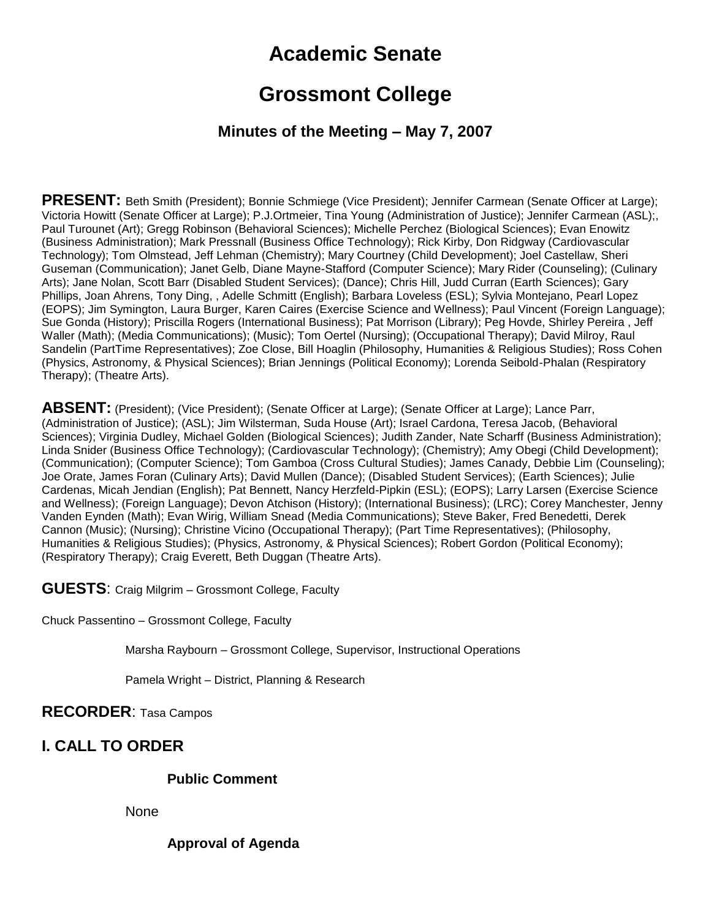# **Academic Senate**

# **Grossmont College**

## **Minutes of the Meeting – May 7, 2007**

**PRESENT:** Beth Smith (President); Bonnie Schmiege (Vice President); Jennifer Carmean (Senate Officer at Large); Victoria Howitt (Senate Officer at Large); P.J.Ortmeier, Tina Young (Administration of Justice); Jennifer Carmean (ASL);, Paul Turounet (Art); Gregg Robinson (Behavioral Sciences); Michelle Perchez (Biological Sciences); Evan Enowitz (Business Administration); Mark Pressnall (Business Office Technology); Rick Kirby, Don Ridgway (Cardiovascular Technology); Tom Olmstead, Jeff Lehman (Chemistry); Mary Courtney (Child Development); Joel Castellaw, Sheri Guseman (Communication); Janet Gelb, Diane Mayne-Stafford (Computer Science); Mary Rider (Counseling); (Culinary Arts); Jane Nolan, Scott Barr (Disabled Student Services); (Dance); Chris Hill, Judd Curran (Earth Sciences); Gary Phillips, Joan Ahrens, Tony Ding, , Adelle Schmitt (English); Barbara Loveless (ESL); Sylvia Montejano, Pearl Lopez (EOPS); Jim Symington, Laura Burger, Karen Caires (Exercise Science and Wellness); Paul Vincent (Foreign Language); Sue Gonda (History); Priscilla Rogers (International Business); Pat Morrison (Library); Peg Hovde, Shirley Pereira , Jeff Waller (Math); (Media Communications); (Music); Tom Oertel (Nursing); (Occupational Therapy); David Milroy, Raul Sandelin (PartTime Representatives); Zoe Close, Bill Hoaglin (Philosophy, Humanities & Religious Studies); Ross Cohen (Physics, Astronomy, & Physical Sciences); Brian Jennings (Political Economy); Lorenda Seibold-Phalan (Respiratory Therapy); (Theatre Arts).

**ABSENT:** (President); (Vice President); (Senate Officer at Large); (Senate Officer at Large); Lance Parr, (Administration of Justice); (ASL); Jim Wilsterman, Suda House (Art); Israel Cardona, Teresa Jacob, (Behavioral Sciences); Virginia Dudley, Michael Golden (Biological Sciences); Judith Zander, Nate Scharff (Business Administration); Linda Snider (Business Office Technology); (Cardiovascular Technology); (Chemistry); Amy Obegi (Child Development); (Communication); (Computer Science); Tom Gamboa (Cross Cultural Studies); James Canady, Debbie Lim (Counseling); Joe Orate, James Foran (Culinary Arts); David Mullen (Dance); (Disabled Student Services); (Earth Sciences); Julie Cardenas, Micah Jendian (English); Pat Bennett, Nancy Herzfeld-Pipkin (ESL); (EOPS); Larry Larsen (Exercise Science and Wellness); (Foreign Language); Devon Atchison (History); (International Business); (LRC); Corey Manchester, Jenny Vanden Eynden (Math); Evan Wirig, William Snead (Media Communications); Steve Baker, Fred Benedetti, Derek Cannon (Music); (Nursing); Christine Vicino (Occupational Therapy); (Part Time Representatives); (Philosophy, Humanities & Religious Studies); (Physics, Astronomy, & Physical Sciences); Robert Gordon (Political Economy); (Respiratory Therapy); Craig Everett, Beth Duggan (Theatre Arts).

**GUESTS**: Craig Milgrim – Grossmont College, Faculty

Chuck Passentino – Grossmont College, Faculty

Marsha Raybourn – Grossmont College, Supervisor, Instructional Operations

Pamela Wright – District, Planning & Research

### **RECORDER**: Tasa Campos

# **I. CALL TO ORDER**

#### **Public Comment**

None

#### **Approval of Agenda**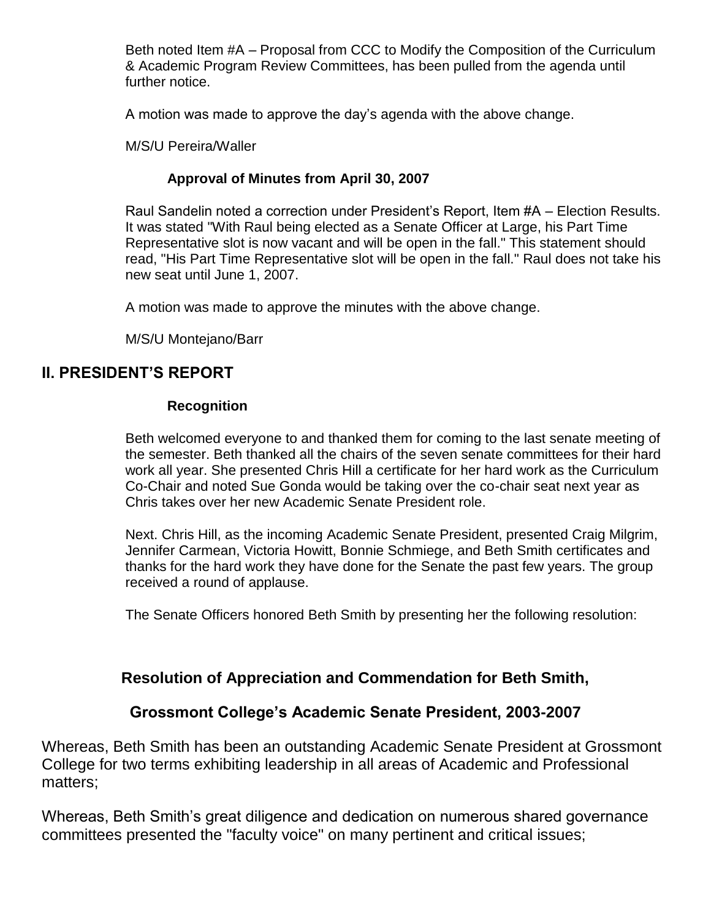Beth noted Item #A – Proposal from CCC to Modify the Composition of the Curriculum & Academic Program Review Committees, has been pulled from the agenda until further notice.

A motion was made to approve the day's agenda with the above change.

M/S/U Pereira/Waller

### **Approval of Minutes from April 30, 2007**

Raul Sandelin noted a correction under President's Report, Item #A – Election Results. It was stated "With Raul being elected as a Senate Officer at Large, his Part Time Representative slot is now vacant and will be open in the fall." This statement should read, "His Part Time Representative slot will be open in the fall." Raul does not take his new seat until June 1, 2007.

A motion was made to approve the minutes with the above change.

M/S/U Montejano/Barr

## **II. PRESIDENT'S REPORT**

### **Recognition**

Beth welcomed everyone to and thanked them for coming to the last senate meeting of the semester. Beth thanked all the chairs of the seven senate committees for their hard work all year. She presented Chris Hill a certificate for her hard work as the Curriculum Co-Chair and noted Sue Gonda would be taking over the co-chair seat next year as Chris takes over her new Academic Senate President role.

Next. Chris Hill, as the incoming Academic Senate President, presented Craig Milgrim, Jennifer Carmean, Victoria Howitt, Bonnie Schmiege, and Beth Smith certificates and thanks for the hard work they have done for the Senate the past few years. The group received a round of applause.

The Senate Officers honored Beth Smith by presenting her the following resolution:

# **Resolution of Appreciation and Commendation for Beth Smith,**

## **Grossmont College's Academic Senate President, 2003-2007**

Whereas, Beth Smith has been an outstanding Academic Senate President at Grossmont College for two terms exhibiting leadership in all areas of Academic and Professional matters;

Whereas, Beth Smith's great diligence and dedication on numerous shared governance committees presented the "faculty voice" on many pertinent and critical issues;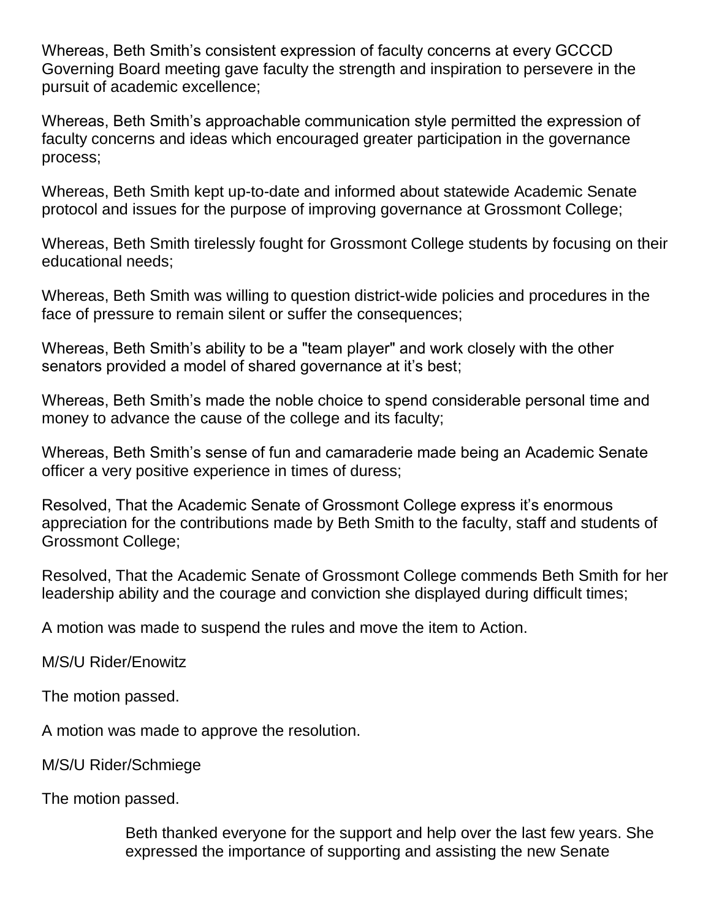Whereas, Beth Smith's consistent expression of faculty concerns at every GCCCD Governing Board meeting gave faculty the strength and inspiration to persevere in the pursuit of academic excellence;

Whereas, Beth Smith's approachable communication style permitted the expression of faculty concerns and ideas which encouraged greater participation in the governance process;

Whereas, Beth Smith kept up-to-date and informed about statewide Academic Senate protocol and issues for the purpose of improving governance at Grossmont College;

Whereas, Beth Smith tirelessly fought for Grossmont College students by focusing on their educational needs;

Whereas, Beth Smith was willing to question district-wide policies and procedures in the face of pressure to remain silent or suffer the consequences;

Whereas, Beth Smith's ability to be a "team player" and work closely with the other senators provided a model of shared governance at it's best;

Whereas, Beth Smith's made the noble choice to spend considerable personal time and money to advance the cause of the college and its faculty;

Whereas, Beth Smith's sense of fun and camaraderie made being an Academic Senate officer a very positive experience in times of duress;

Resolved, That the Academic Senate of Grossmont College express it's enormous appreciation for the contributions made by Beth Smith to the faculty, staff and students of Grossmont College;

Resolved, That the Academic Senate of Grossmont College commends Beth Smith for her leadership ability and the courage and conviction she displayed during difficult times;

A motion was made to suspend the rules and move the item to Action.

M/S/U Rider/Enowitz

The motion passed.

A motion was made to approve the resolution.

M/S/U Rider/Schmiege

The motion passed.

Beth thanked everyone for the support and help over the last few years. She expressed the importance of supporting and assisting the new Senate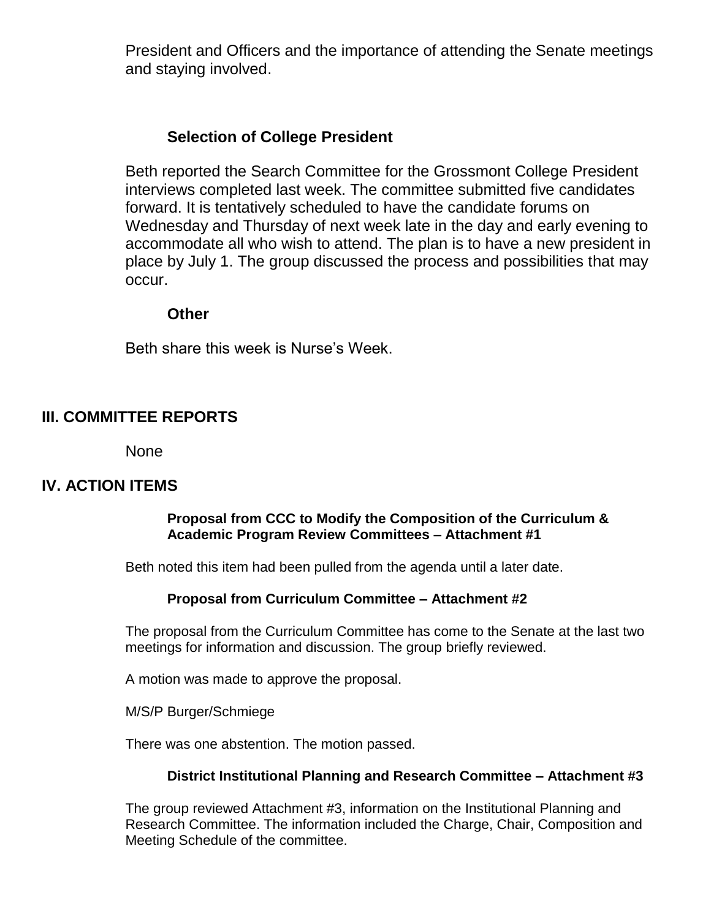President and Officers and the importance of attending the Senate meetings and staying involved.

## **Selection of College President**

Beth reported the Search Committee for the Grossmont College President interviews completed last week. The committee submitted five candidates forward. It is tentatively scheduled to have the candidate forums on Wednesday and Thursday of next week late in the day and early evening to accommodate all who wish to attend. The plan is to have a new president in place by July 1. The group discussed the process and possibilities that may occur.

### **Other**

Beth share this week is Nurse's Week.

## **III. COMMITTEE REPORTS**

None

### **IV. ACTION ITEMS**

#### **Proposal from CCC to Modify the Composition of the Curriculum & Academic Program Review Committees – Attachment #1**

Beth noted this item had been pulled from the agenda until a later date.

#### **Proposal from Curriculum Committee – Attachment #2**

The proposal from the Curriculum Committee has come to the Senate at the last two meetings for information and discussion. The group briefly reviewed.

A motion was made to approve the proposal.

M/S/P Burger/Schmiege

There was one abstention. The motion passed.

#### **District Institutional Planning and Research Committee – Attachment #3**

The group reviewed Attachment #3, information on the Institutional Planning and Research Committee. The information included the Charge, Chair, Composition and Meeting Schedule of the committee.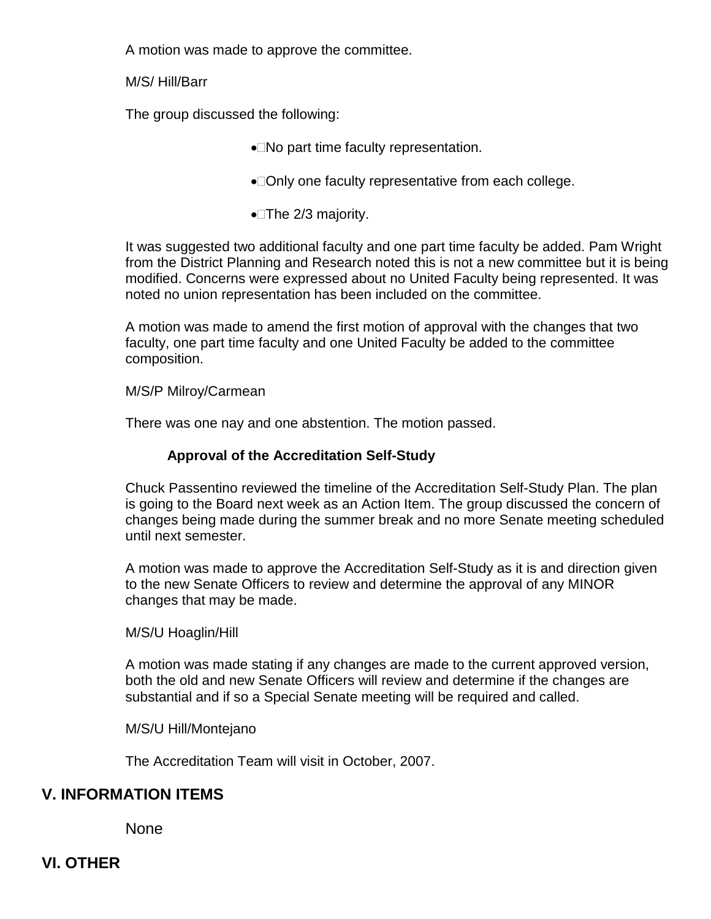A motion was made to approve the committee.

M/S/ Hill/Barr

The group discussed the following:

- No part time faculty representation.
- •□Only one faculty representative from each college.
- $\bullet$  The 2/3 majority.

It was suggested two additional faculty and one part time faculty be added. Pam Wright from the District Planning and Research noted this is not a new committee but it is being modified. Concerns were expressed about no United Faculty being represented. It was noted no union representation has been included on the committee.

A motion was made to amend the first motion of approval with the changes that two faculty, one part time faculty and one United Faculty be added to the committee composition.

#### M/S/P Milroy/Carmean

There was one nay and one abstention. The motion passed.

### **Approval of the Accreditation Self-Study**

Chuck Passentino reviewed the timeline of the Accreditation Self-Study Plan. The plan is going to the Board next week as an Action Item. The group discussed the concern of changes being made during the summer break and no more Senate meeting scheduled until next semester.

A motion was made to approve the Accreditation Self-Study as it is and direction given to the new Senate Officers to review and determine the approval of any MINOR changes that may be made.

M/S/U Hoaglin/Hill

A motion was made stating if any changes are made to the current approved version, both the old and new Senate Officers will review and determine if the changes are substantial and if so a Special Senate meeting will be required and called.

M/S/U Hill/Montejano

The Accreditation Team will visit in October, 2007.

### **V. INFORMATION ITEMS**

None

**VI. OTHER**